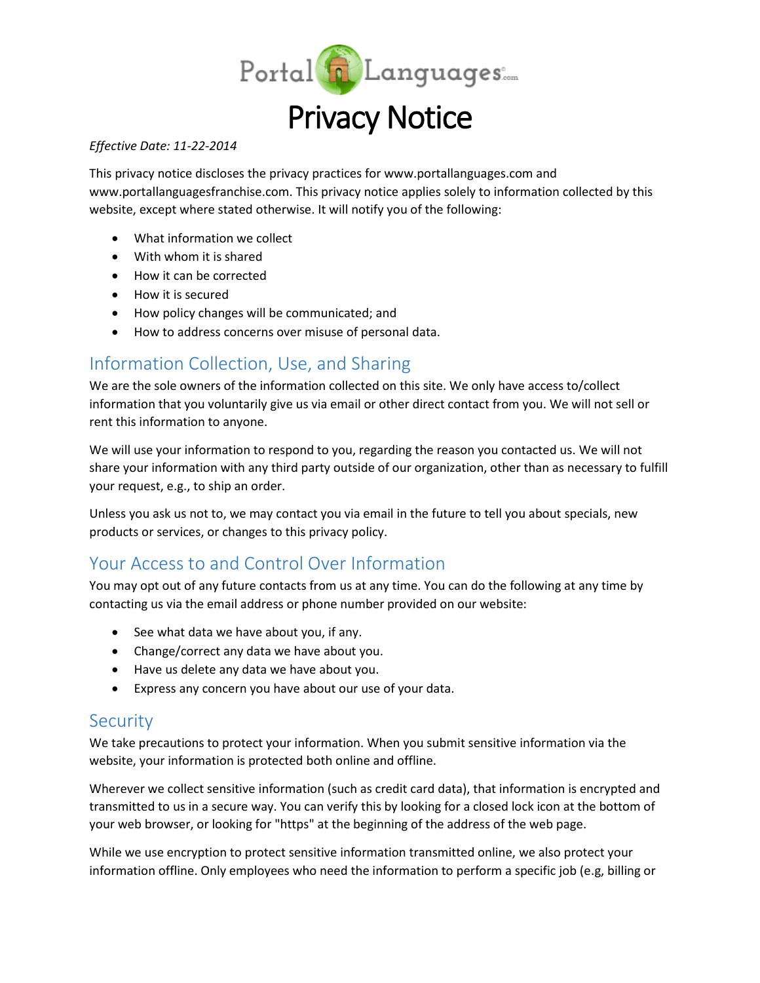

### *Effective Date: 11-22-2014*

This privacy notice discloses the privacy practices for www.portallanguages.com and www.portallanguagesfranchise.com. This privacy notice applies solely to information collected by this website, except where stated otherwise. It will notify you of the following:

- What information we collect
- With whom it is shared
- How it can be corrected
- How it is secured
- How policy changes will be communicated; and
- How to address concerns over misuse of personal data.

# Information Collection, Use, and Sharing

We are the sole owners of the information collected on this site. We only have access to/collect information that you voluntarily give us via email or other direct contact from you. We will not sell or rent this information to anyone.

We will use your information to respond to you, regarding the reason you contacted us. We will not share your information with any third party outside of our organization, other than as necessary to fulfill your request, e.g., to ship an order.

Unless you ask us not to, we may contact you via email in the future to tell you about specials, new products or services, or changes to this privacy policy.

# Your Access to and Control Over Information

You may opt out of any future contacts from us at any time. You can do the following at any time by contacting us via the email address or phone number provided on our website:

- See what data we have about you, if any.
- Change/correct any data we have about you.
- Have us delete any data we have about you.
- Express any concern you have about our use of your data.

## **Security**

We take precautions to protect your information. When you submit sensitive information via the website, your information is protected both online and offline.

Wherever we collect sensitive information (such as credit card data), that information is encrypted and transmitted to us in a secure way. You can verify this by looking for a closed lock icon at the bottom of your web browser, or looking for "https" at the beginning of the address of the web page.

While we use encryption to protect sensitive information transmitted online, we also protect your information offline. Only employees who need the information to perform a specific job (e.g, billing or